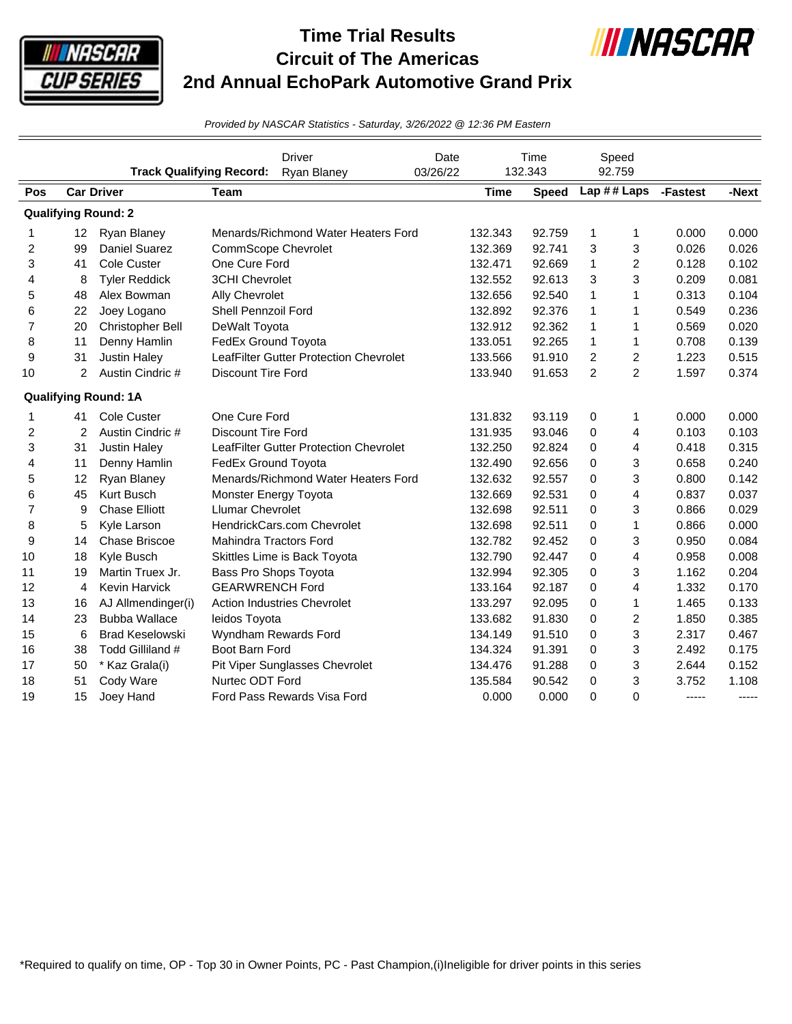

## **Time Trial Results Circuit of The Americas 2nd Annual EchoPark Automotive Grand Prix**



*Provided by NASCAR Statistics - Saturday, 3/26/2022 @ 12:36 PM Eastern*

|                         |                 | <b>Track Qualifying Record:</b> |                               | <b>Driver</b><br>Ryan Blaney           | Date<br>03/26/22 |             | Time<br>132.343 |                | Speed<br>92.759 |          |       |
|-------------------------|-----------------|---------------------------------|-------------------------------|----------------------------------------|------------------|-------------|-----------------|----------------|-----------------|----------|-------|
| Pos                     |                 | <b>Car Driver</b>               | <b>Team</b>                   |                                        |                  | <b>Time</b> | <b>Speed</b>    |                | Lap ## Laps     | -Fastest | -Next |
|                         |                 | <b>Qualifying Round: 2</b>      |                               |                                        |                  |             |                 |                |                 |          |       |
| 1                       | 12 <sup>2</sup> | Ryan Blaney                     |                               | Menards/Richmond Water Heaters Ford    |                  | 132.343     | 92.759          | 1              | 1               | 0.000    | 0.000 |
| $\overline{\mathbf{c}}$ | 99              | Daniel Suarez                   | <b>CommScope Chevrolet</b>    |                                        |                  | 132.369     | 92.741          | 3              | 3               | 0.026    | 0.026 |
| 3                       | 41              | Cole Custer                     | One Cure Ford                 |                                        |                  | 132.471     | 92.669          | 1              | 2               | 0.128    | 0.102 |
| 4                       | 8               | <b>Tyler Reddick</b>            | 3CHI Chevrolet                |                                        |                  | 132.552     | 92.613          | 3              | 3               | 0.209    | 0.081 |
| 5                       | 48              | Alex Bowman                     | Ally Chevrolet                |                                        |                  | 132.656     | 92.540          | 1              | $\mathbf{1}$    | 0.313    | 0.104 |
| 6                       | 22              | Joey Logano                     | Shell Pennzoil Ford           |                                        |                  | 132.892     | 92.376          | 1              | 1               | 0.549    | 0.236 |
| $\overline{7}$          | 20              | Christopher Bell                | DeWalt Toyota                 |                                        |                  | 132.912     | 92.362          | 1              | $\mathbf{1}$    | 0.569    | 0.020 |
| 8                       | 11              | Denny Hamlin                    | FedEx Ground Toyota           |                                        |                  | 133.051     | 92.265          | 1              | 1               | 0.708    | 0.139 |
| 9                       | 31              | <b>Justin Haley</b>             |                               | LeafFilter Gutter Protection Chevrolet |                  | 133.566     | 91.910          | 2              | 2               | 1.223    | 0.515 |
| 10                      | $\overline{2}$  | Austin Cindric #                | <b>Discount Tire Ford</b>     |                                        |                  | 133.940     | 91.653          | $\overline{c}$ | $\overline{c}$  | 1.597    | 0.374 |
|                         |                 | <b>Qualifying Round: 1A</b>     |                               |                                        |                  |             |                 |                |                 |          |       |
| 1                       | 41              | Cole Custer                     | One Cure Ford                 |                                        |                  | 131.832     | 93.119          | 0              | 1               | 0.000    | 0.000 |
| 2                       | 2               | Austin Cindric #                | <b>Discount Tire Ford</b>     |                                        |                  | 131.935     | 93.046          | 0              | 4               | 0.103    | 0.103 |
| 3                       | 31              | <b>Justin Haley</b>             |                               | LeafFilter Gutter Protection Chevrolet |                  | 132.250     | 92.824          | 0              | 4               | 0.418    | 0.315 |
| 4                       | 11              | Denny Hamlin                    | FedEx Ground Toyota           |                                        |                  | 132.490     | 92.656          | 0              | 3               | 0.658    | 0.240 |
| 5                       | 12              | Ryan Blaney                     |                               | Menards/Richmond Water Heaters Ford    |                  | 132.632     | 92.557          | 0              | 3               | 0.800    | 0.142 |
| 6                       | 45              | Kurt Busch                      | Monster Energy Toyota         |                                        |                  | 132.669     | 92.531          | 0              | 4               | 0.837    | 0.037 |
| $\overline{7}$          | 9               | <b>Chase Elliott</b>            | <b>Llumar Chevrolet</b>       |                                        |                  | 132.698     | 92.511          | 0              | 3               | 0.866    | 0.029 |
| 8                       | 5               | Kyle Larson                     |                               | HendrickCars.com Chevrolet             |                  | 132.698     | 92.511          | 0              | $\mathbf{1}$    | 0.866    | 0.000 |
| 9                       | 14              | <b>Chase Briscoe</b>            | <b>Mahindra Tractors Ford</b> |                                        |                  | 132.782     | 92.452          | 0              | 3               | 0.950    | 0.084 |
| 10                      | 18              | Kyle Busch                      |                               | Skittles Lime is Back Toyota           |                  | 132.790     | 92.447          | 0              | 4               | 0.958    | 0.008 |
| 11                      | 19              | Martin Truex Jr.                | Bass Pro Shops Toyota         |                                        |                  | 132.994     | 92.305          | 0              | 3               | 1.162    | 0.204 |
| 12                      | 4               | <b>Kevin Harvick</b>            | <b>GEARWRENCH Ford</b>        |                                        |                  | 133.164     | 92.187          | 0              | 4               | 1.332    | 0.170 |
| 13                      | 16              | AJ Allmendinger(i)              |                               | <b>Action Industries Chevrolet</b>     |                  | 133.297     | 92.095          | 0              | 1               | 1.465    | 0.133 |
| 14                      | 23              | <b>Bubba Wallace</b>            | leidos Toyota                 |                                        |                  | 133.682     | 91.830          | 0              | $\overline{c}$  | 1.850    | 0.385 |
| 15                      | 6               | <b>Brad Keselowski</b>          |                               | Wyndham Rewards Ford                   |                  | 134.149     | 91.510          | 0              | 3               | 2.317    | 0.467 |
| 16                      | 38              | Todd Gilliland #                | Boot Barn Ford                |                                        |                  | 134.324     | 91.391          | 0              | 3               | 2.492    | 0.175 |
| 17                      | 50              | * Kaz Grala(i)                  |                               | Pit Viper Sunglasses Chevrolet         |                  | 134.476     | 91.288          | 0              | 3               | 2.644    | 0.152 |
| 18                      | 51              | Cody Ware                       | Nurtec ODT Ford               |                                        |                  | 135.584     | 90.542          | 0              | 3               | 3.752    | 1.108 |
| 19                      | 15              | Joey Hand                       |                               | Ford Pass Rewards Visa Ford            |                  | 0.000       | 0.000           | 0              | 0               | -----    | ----- |